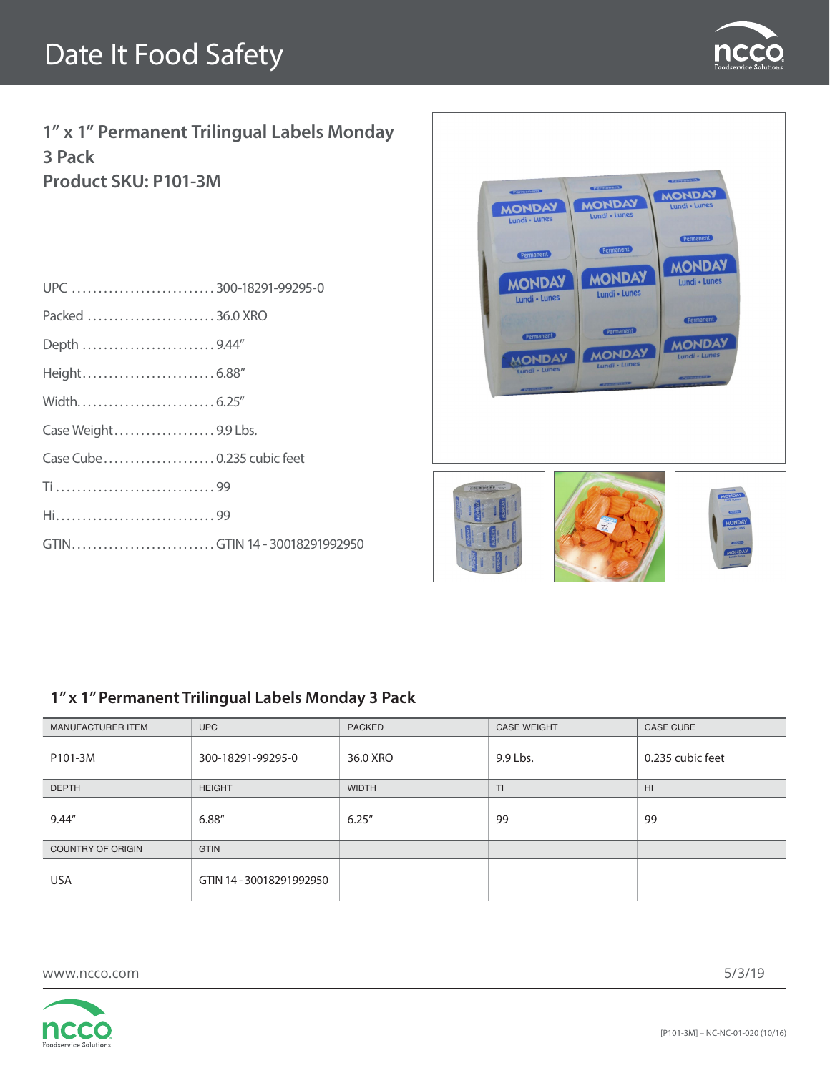

**1" x 1" Permanent Trilingual Labels Monday 3 Pack Product SKU: P101-3M**

| UPC 300-18291-99295-0        |  |
|------------------------------|--|
| Packed  36.0 XRO             |  |
| Depth 9.44"                  |  |
|                              |  |
|                              |  |
| Case Weight9.9 Lbs.          |  |
| Case Cube 0.235 cubic feet   |  |
|                              |  |
|                              |  |
| GTINGTIN 14 - 30018291992950 |  |
|                              |  |



### **1" x 1" Permanent Trilingual Labels Monday 3 Pack**

| MANUFACTURER ITEM        | <b>UPC</b>               | <b>PACKED</b> | <b>CASE WEIGHT</b> | <b>CASE CUBE</b> |
|--------------------------|--------------------------|---------------|--------------------|------------------|
| P101-3M                  | 300-18291-99295-0        | 36.0 XRO      | 9.9 Lbs.           | 0.235 cubic feet |
| <b>DEPTH</b>             | <b>HEIGHT</b>            | <b>WIDTH</b>  | TI.                | H <sub>II</sub>  |
| 9.44''                   | 6.88"                    | 6.25''        | 99                 | 99               |
| <b>COUNTRY OF ORIGIN</b> | <b>GTIN</b>              |               |                    |                  |
| <b>USA</b>               | GTIN 14 - 30018291992950 |               |                    |                  |

www.ncco.com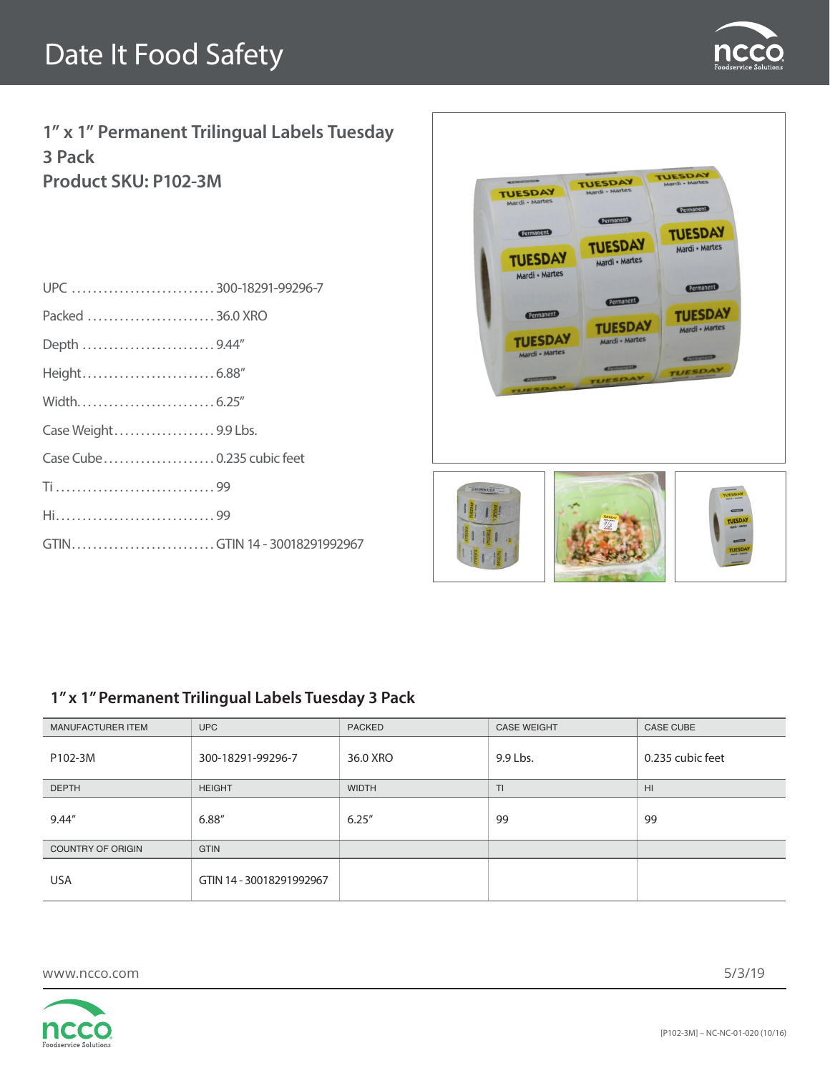

**1" x 1" Permanent Trilingual Labels Tuesday 3 Pack Product SKU: P102-3M**

| UPC 300-18291-99296-7        |  |
|------------------------------|--|
| Packed  36.0 XRO             |  |
| Depth 9.44"                  |  |
|                              |  |
|                              |  |
| Case Weight9.9 Lbs.          |  |
| Case Cube 0.235 cubic feet   |  |
|                              |  |
|                              |  |
| GTINGTIN 14 - 30018291992967 |  |
|                              |  |



#### **1" x 1" Permanent Trilingual Labels Tuesday 3 Pack**

| MANUFACTURER ITEM        | <b>UPC</b>               | <b>PACKED</b> | <b>CASE WEIGHT</b> | <b>CASE CUBE</b> |
|--------------------------|--------------------------|---------------|--------------------|------------------|
| P102-3M                  | 300-18291-99296-7        | 36.0 XRO      | 9.9 Lbs.           | 0.235 cubic feet |
| <b>DEPTH</b>             | <b>HEIGHT</b>            | <b>WIDTH</b>  | T <sub>1</sub>     | H <sub>II</sub>  |
| 9.44"                    | 6.88"                    | 6.25''        | 99                 | 99               |
| <b>COUNTRY OF ORIGIN</b> | <b>GTIN</b>              |               |                    |                  |
| <b>USA</b>               | GTIN 14 - 30018291992967 |               |                    |                  |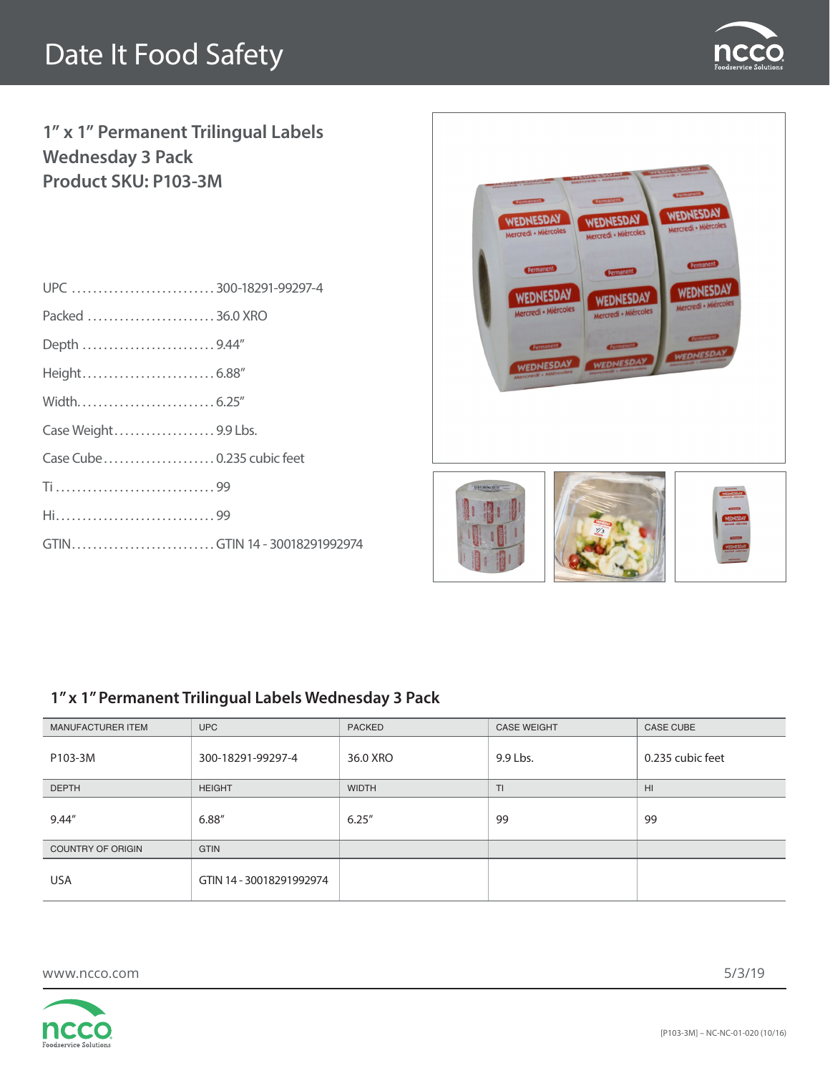

### **1" x 1" Permanent Trilingual Labels Wednesday 3 Pack Product SKU: P103-3M**

| UPC 300-18291-99297-4        |  |
|------------------------------|--|
| Packed 36.0 XRO              |  |
| Depth 9.44"                  |  |
|                              |  |
|                              |  |
| Case Weight9.9 Lbs.          |  |
| Case Cube  0.235 cubic feet  |  |
|                              |  |
|                              |  |
| GTINGTIN 14 - 30018291992974 |  |
|                              |  |



### **1" x 1" Permanent Trilingual Labels Wednesday 3 Pack**

| MANUFACTURER ITEM        | <b>UPC</b>               | <b>PACKED</b> | <b>CASE WEIGHT</b> | <b>CASE CUBE</b> |
|--------------------------|--------------------------|---------------|--------------------|------------------|
| P103-3M                  | 300-18291-99297-4        | 36.0 XRO      | 9.9 Lbs.           | 0.235 cubic feet |
| <b>DEPTH</b>             | <b>HEIGHT</b>            | <b>WIDTH</b>  | TI.                | H <sub>II</sub>  |
| 9.44''                   | 6.88"                    | 6.25''        | 99                 | 99               |
| <b>COUNTRY OF ORIGIN</b> | <b>GTIN</b>              |               |                    |                  |
| <b>USA</b>               | GTIN 14 - 30018291992974 |               |                    |                  |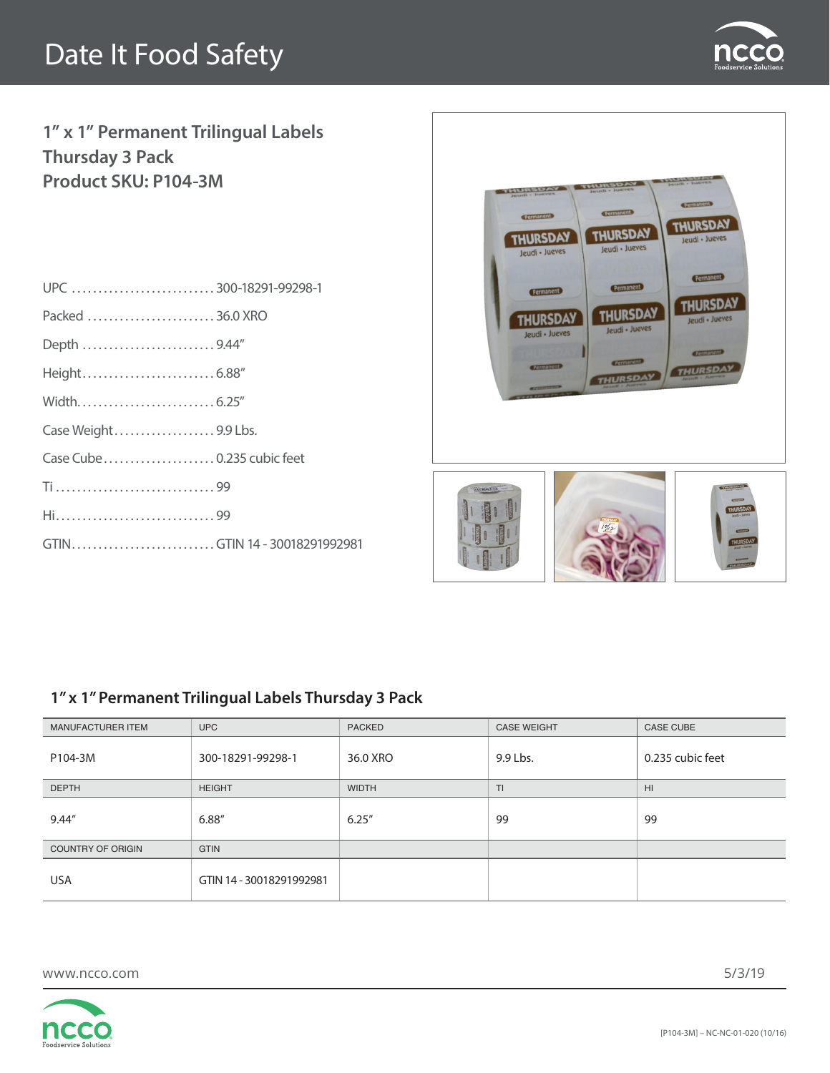

### **1" x 1" Permanent Trilingual Labels Thursday 3 Pack Product SKU: P104-3M**

| UPC 300-18291-99298-1        |  |
|------------------------------|--|
| Packed 36.0 XRO              |  |
| Depth 9.44"                  |  |
|                              |  |
|                              |  |
| Case Weight9.9 Lbs.          |  |
|                              |  |
|                              |  |
| Hi99                         |  |
| GTINGTIN 14 - 30018291992981 |  |
|                              |  |



### **1" x 1" Permanent Trilingual Labels Thursday 3 Pack**

| <b>MANUFACTURER ITEM</b> | <b>UPC</b>               | <b>PACKED</b> | <b>CASE WEIGHT</b> | <b>CASE CUBE</b> |
|--------------------------|--------------------------|---------------|--------------------|------------------|
| P104-3M                  | 300-18291-99298-1        | 36.0 XRO      | 9.9 Lbs.           | 0.235 cubic feet |
| <b>DEPTH</b>             | <b>HEIGHT</b>            | <b>WIDTH</b>  | T <sub>1</sub>     | H <sub>II</sub>  |
| 9.44''                   | 6.88"                    | 6.25''        | 99                 | 99               |
| <b>COUNTRY OF ORIGIN</b> | <b>GTIN</b>              |               |                    |                  |
| <b>USA</b>               | GTIN 14 - 30018291992981 |               |                    |                  |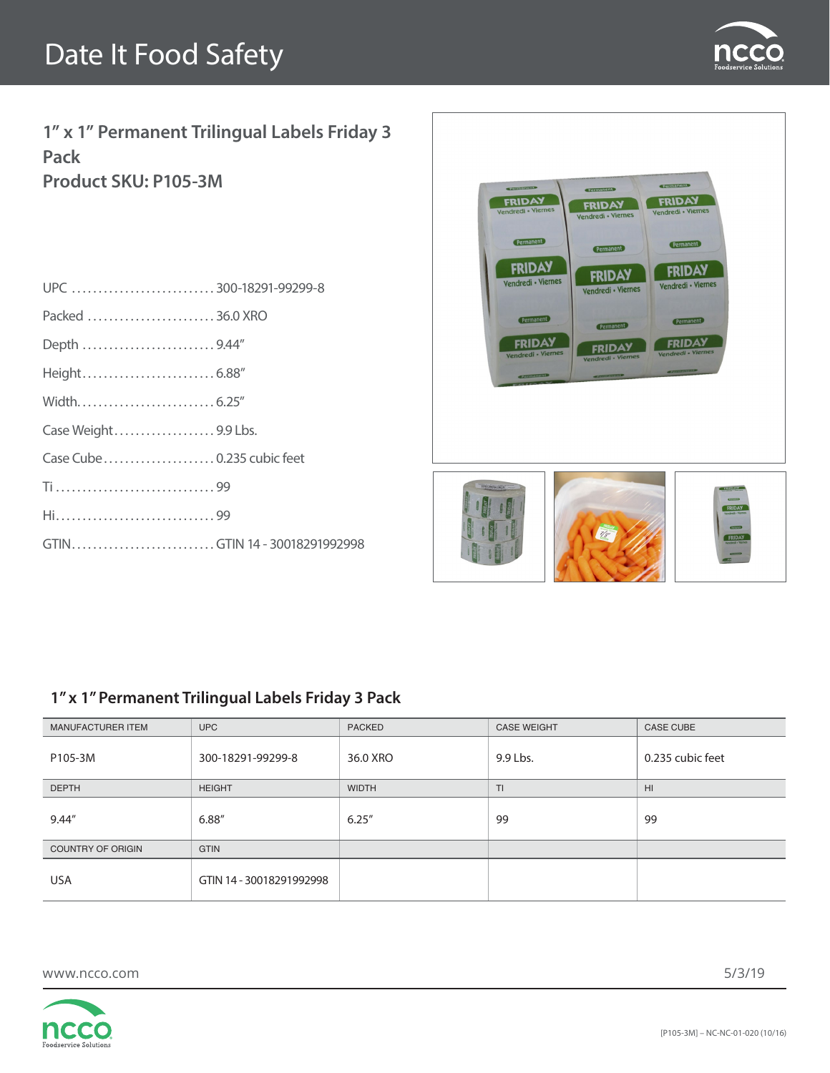

**1" x 1" Permanent Trilingual Labels Friday 3 Pack Product SKU: P105-3M**

| UPC 300-18291-99299-8        |  |
|------------------------------|--|
| Packed  36.0 XRO             |  |
| Depth 9.44"                  |  |
|                              |  |
|                              |  |
| Case Weight9.9 Lbs.          |  |
| Case Cube  0.235 cubic feet  |  |
|                              |  |
|                              |  |
| GTINGTIN 14 - 30018291992998 |  |
|                              |  |



### **1" x 1" Permanent Trilingual Labels Friday 3 Pack**

| MANUFACTURER ITEM        | <b>UPC</b>               | <b>PACKED</b> | <b>CASE WEIGHT</b> | <b>CASE CUBE</b> |
|--------------------------|--------------------------|---------------|--------------------|------------------|
| P105-3M                  | 300-18291-99299-8        | 36.0 XRO      | 9.9 Lbs.           | 0.235 cubic feet |
| <b>DEPTH</b>             | <b>HEIGHT</b>            | <b>WIDTH</b>  | T <sub>1</sub>     | H <sub>II</sub>  |
| 9.44"                    | 6.88"                    | 6.25''        | 99                 | 99               |
| <b>COUNTRY OF ORIGIN</b> | <b>GTIN</b>              |               |                    |                  |
| <b>USA</b>               | GTIN 14 - 30018291992998 |               |                    |                  |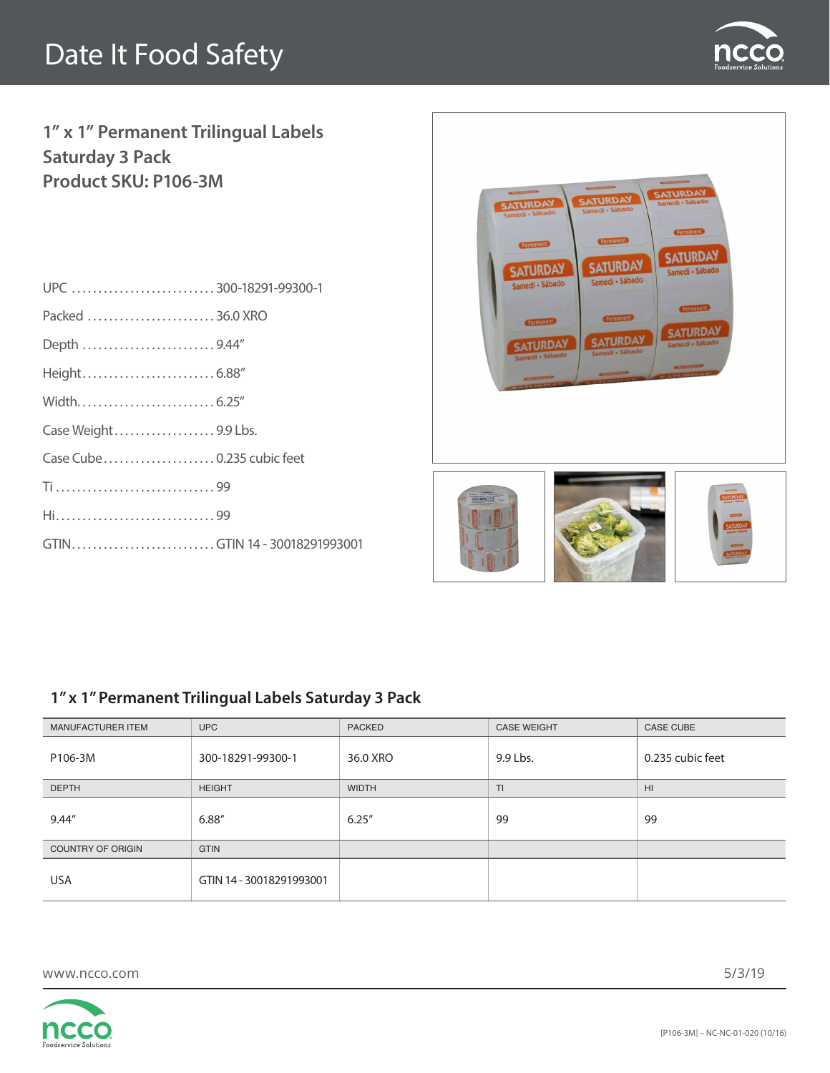

### **1" x 1" Permanent Trilingual Labels Saturday 3 Pack Product SKU: P106-3M**

| UPC 300-18291-99300-1        |  |
|------------------------------|--|
| Packed  36.0 XRO             |  |
| Depth 9.44"                  |  |
|                              |  |
|                              |  |
| Case Weight9.9 Lbs.          |  |
|                              |  |
|                              |  |
|                              |  |
| GTINGTIN 14 - 30018291993001 |  |
|                              |  |



### **1" x 1" Permanent Trilingual Labels Saturday 3 Pack**

| <b>MANUFACTURER ITEM</b> | <b>UPC</b>               | <b>PACKED</b> | <b>CASE WEIGHT</b> | <b>CASE CUBE</b> |
|--------------------------|--------------------------|---------------|--------------------|------------------|
|                          |                          |               |                    |                  |
| P106-3M                  | 300-18291-99300-1        | 36.0 XRO      | 9.9 Lbs.           | 0.235 cubic feet |
| <b>DEPTH</b>             | <b>HEIGHT</b>            | <b>WIDTH</b>  | T <sub>1</sub>     | H <sub>II</sub>  |
| 9.44''                   | 6.88"                    | 6.25''        | 99                 | 99               |
| <b>COUNTRY OF ORIGIN</b> | <b>GTIN</b>              |               |                    |                  |
| <b>USA</b>               | GTIN 14 - 30018291993001 |               |                    |                  |